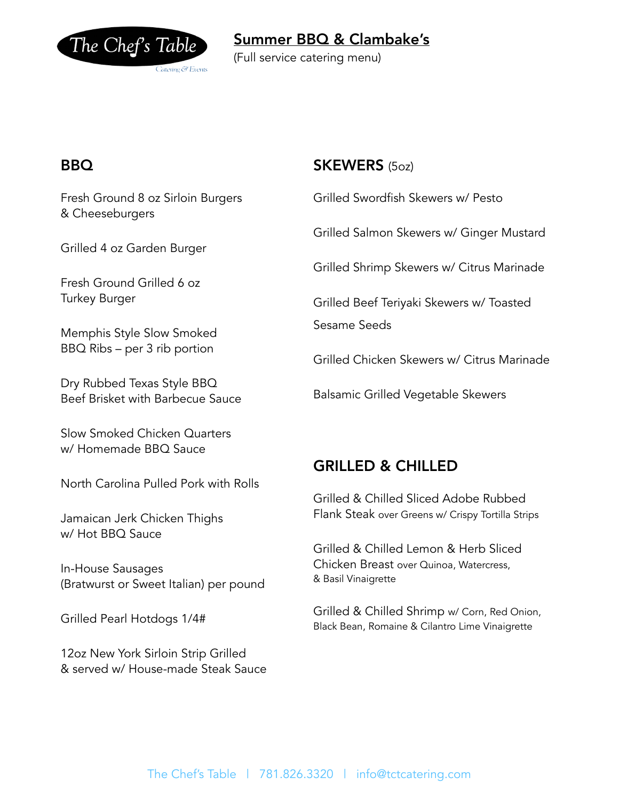

## Summer BBQ & Clambake's

(Full service catering menu)

### BBQ

Fresh Ground 8 oz Sirloin Burgers & Cheeseburgers

Grilled 4 oz Garden Burger

Fresh Ground Grilled 6 oz Turkey Burger

Memphis Style Slow Smoked BBQ Ribs – per 3 rib portion

Dry Rubbed Texas Style BBQ Beef Brisket with Barbecue Sauce

Slow Smoked Chicken Quarters w/ Homemade BBQ Sauce

North Carolina Pulled Pork with Rolls

Jamaican Jerk Chicken Thighs w/ Hot BBQ Sauce

In-House Sausages (Bratwurst or Sweet Italian) per pound

Grilled Pearl Hotdogs 1/4#

12oz New York Sirloin Strip Grilled & served w/ House-made Steak Sauce

#### SKEWERS (5oz)

Grilled Swordfish Skewers w/ Pesto

Grilled Salmon Skewers w/ Ginger Mustard

Grilled Shrimp Skewers w/ Citrus Marinade

Grilled Beef Teriyaki Skewers w/ Toasted Sesame Seeds

Grilled Chicken Skewers w/ Citrus Marinade

Balsamic Grilled Vegetable Skewers

## GRILLED & CHILLED

Grilled & Chilled Sliced Adobe Rubbed Flank Steak over Greens w/ Crispy Tortilla Strips

Grilled & Chilled Lemon & Herb Sliced Chicken Breast over Quinoa, Watercress, & Basil Vinaigrette

Grilled & Chilled Shrimp w/ Corn, Red Onion, Black Bean, Romaine & Cilantro Lime Vinaigrette